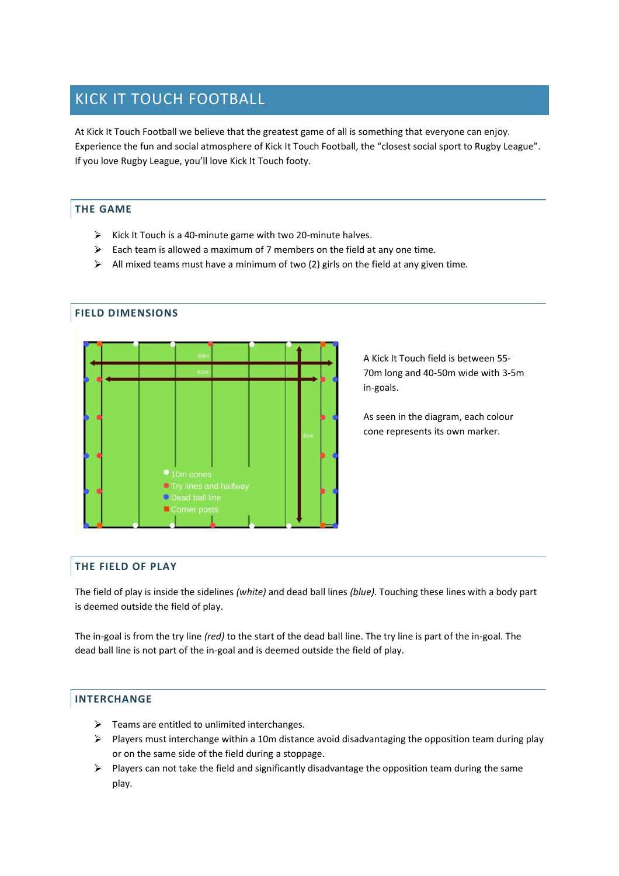# KICK IT TOUCH FOOTBALL

At Kick It Touch Football we believe that the greatest game of all is something that everyone can enjoy. Experience the fun and social atmosphere of Kick It Touch Football, the "closest social sport to Rugby League". If you love Rugby League, you'll love Kick It Touch footy.

## **THE GAME**

- $\triangleright$  Kick It Touch is a 40-minute game with two 20-minute halves.
- $\triangleright$  Each team is allowed a maximum of 7 members on the field at any one time.
- $\triangleright$  All mixed teams must have a minimum of two (2) girls on the field at any given time.

# **FIELD DIMENSIONS**



A Kick It Touch field is between 55- 70m long and 40-50m wide with 3-5m in-goals.

As seen in the diagram, each colour cone represents its own marker.

## **THE FIELD OF PLAY**

The field of play is inside the sidelines *(white)* and dead ball lines *(blue)*. Touching these lines with a body part is deemed outside the field of play.

The in-goal is from the try line *(red)* to the start of the dead ball line. The try line is part of the in-goal. The dead ball line is not part of the in-goal and is deemed outside the field of play.

## **INTERCHANGE**

- $\triangleright$  Teams are entitled to unlimited interchanges.
- $\triangleright$  Players must interchange within a 10m distance avoid disadvantaging the opposition team during play or on the same side of the field during a stoppage.
- $\triangleright$  Players can not take the field and significantly disadvantage the opposition team during the same play.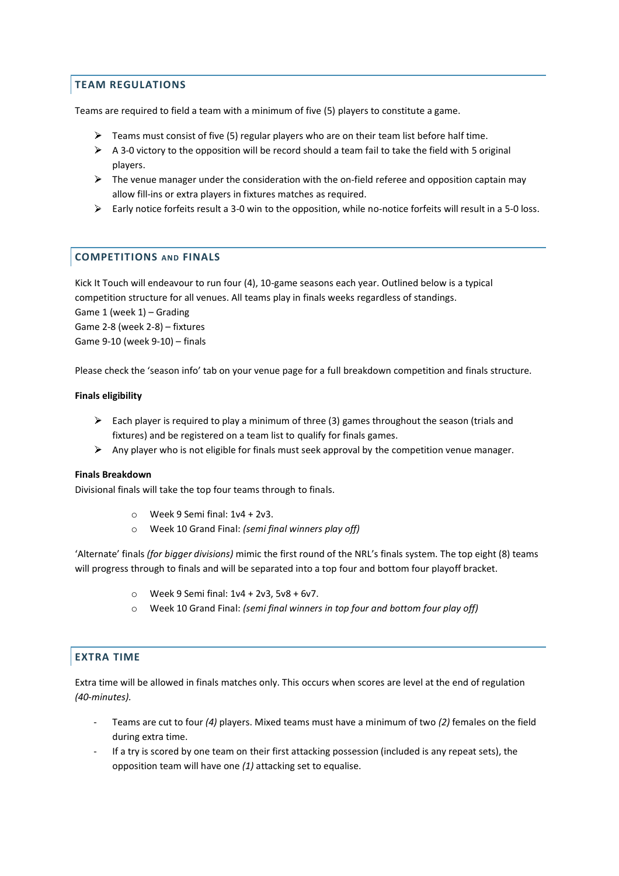## **TEAM REGULATIONS**

Teams are required to field a team with a minimum of five (5) players to constitute a game.

- $\triangleright$  Teams must consist of five (5) regular players who are on their team list before half time.
- $\triangleright$  A 3-0 victory to the opposition will be record should a team fail to take the field with 5 original players.
- $\triangleright$  The venue manager under the consideration with the on-field referee and opposition captain may allow fill-ins or extra players in fixtures matches as required.
- $\triangleright$  Early notice forfeits result a 3-0 win to the opposition, while no-notice forfeits will result in a 5-0 loss.

## **COMPETITIONS AND FINALS**

Kick It Touch will endeavour to run four (4), 10-game seasons each year. Outlined below is a typical competition structure for all venues. All teams play in finals weeks regardless of standings.

Game 1 (week 1) – Grading Game 2-8 (week 2-8) – fixtures Game 9-10 (week 9-10) – finals

Please check the 'season info' tab on your venue page for a full breakdown competition and finals structure.

#### **Finals eligibility**

- Each player is required to play a minimum of three (3) games throughout the season (trials and fixtures) and be registered on a team list to qualify for finals games.
- Any player who is not eligible for finals must seek approval by the competition venue manager.

#### **Finals Breakdown**

Divisional finals will take the top four teams through to finals.

- $\circ$  Week 9 Semi final: 1v4 + 2v3.
- o Week 10 Grand Final: *(semi final winners play off)*

'Alternate' finals *(for bigger divisions)* mimic the first round of the NRL's finals system. The top eight (8) teams will progress through to finals and will be separated into a top four and bottom four playoff bracket.

- o Week 9 Semi final: 1v4 + 2v3, 5v8 + 6v7.
- o Week 10 Grand Final: *(semi final winners in top four and bottom four play off)*

## **EXTRA TIME**

Extra time will be allowed in finals matches only. This occurs when scores are level at the end of regulation *(40-minutes).*

- Teams are cut to four *(4)* players. Mixed teams must have a minimum of two *(2)* females on the field during extra time.
- If a try is scored by one team on their first attacking possession (included is any repeat sets), the opposition team will have one *(1)* attacking set to equalise.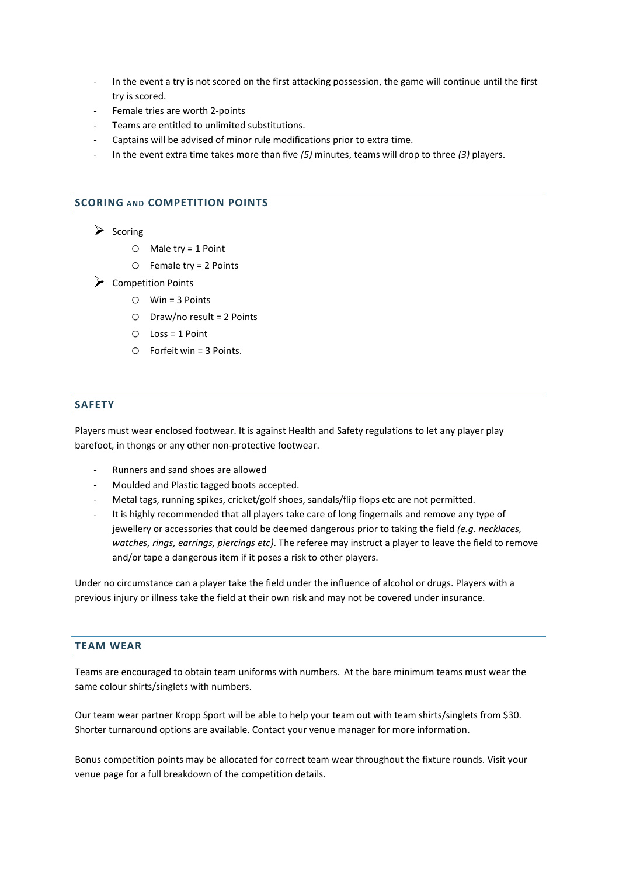- In the event a try is not scored on the first attacking possession, the game will continue until the first try is scored.
- Female tries are worth 2-points
- Teams are entitled to unlimited substitutions.
- Captains will be advised of minor rule modifications prior to extra time.
- In the event extra time takes more than five *(5)* minutes, teams will drop to three *(3)* players.

#### **SCORING AND COMPETITION POINTS**

 $\triangleright$  Scoring

- o Male try = 1 Point
- $O$  Female try = 2 Points
- Competition Points
	- o Win = 3 Points
	- o Draw/no result = 2 Points
	- o Loss = 1 Point
	- o Forfeit win = 3 Points.

## **SAFETY**

Players must wear enclosed footwear. It is against Health and Safety regulations to let any player play barefoot, in thongs or any other non-protective footwear.

- Runners and sand shoes are allowed
- Moulded and Plastic tagged boots accepted.
- Metal tags, running spikes, cricket/golf shoes, sandals/flip flops etc are not permitted.
- It is highly recommended that all players take care of long fingernails and remove any type of jewellery or accessories that could be deemed dangerous prior to taking the field *(e.g. necklaces, watches, rings, earrings, piercings etc)*. The referee may instruct a player to leave the field to remove and/or tape a dangerous item if it poses a risk to other players.

Under no circumstance can a player take the field under the influence of alcohol or drugs. Players with a previous injury or illness take the field at their own risk and may not be covered under insurance.

## **TEAM WEAR**

Teams are encouraged to obtain team uniforms with numbers. At the bare minimum teams must wear the same colour shirts/singlets with numbers.

Our team wear partner Kropp Sport will be able to help your team out with team shirts/singlets from \$30. Shorter turnaround options are available. Contact your venue manager for more information.

Bonus competition points may be allocated for correct team wear throughout the fixture rounds. Visit your venue page for a full breakdown of the competition details.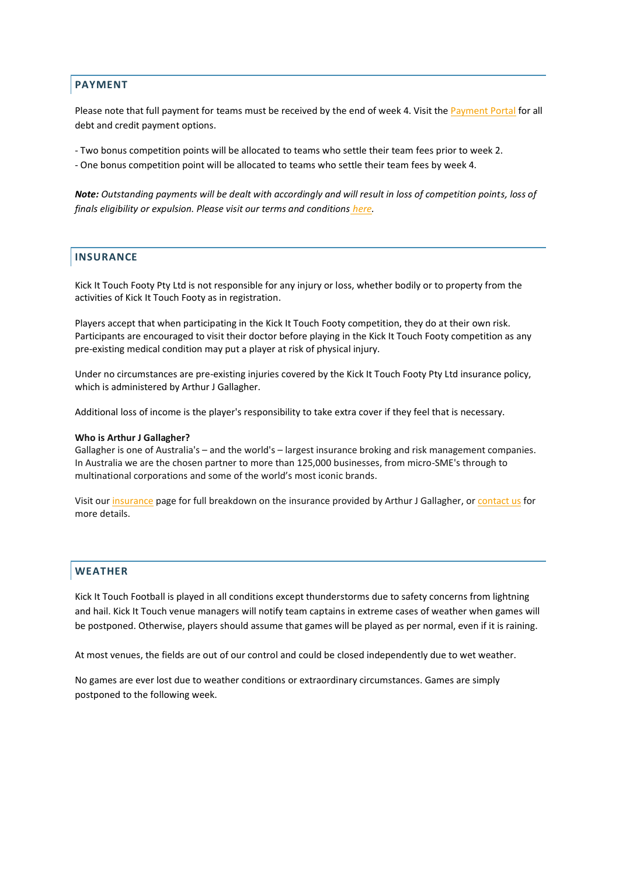### **PAYMENT**

Please note that full payment for teams must be received by the end of week 4. Visit the [Payment Portal](http://www.kickit.com.au/payment) for all debt and credit payment options.

- Two bonus competition points will be allocated to teams who settle their team fees prior to week 2.

- One bonus competition point will be allocated to teams who settle their team fees by week 4.

*Note: Outstanding payments will be dealt with accordingly and will result in loss of competition points, loss of finals eligibility or expulsion. Please visit our terms and conditions [here.](https://wp.me/P8gXvn-2q0)* 

#### **INSURANCE**

Kick It Touch Footy Pty Ltd is not responsible for any injury or loss, whether bodily or to property from the activities of Kick It Touch Footy as in registration.

Players accept that when participating in the Kick It Touch Footy competition, they do at their own risk. Participants are encouraged to visit their doctor before playing in the Kick It Touch Footy competition as any pre-existing medical condition may put a player at risk of physical injury.

Under no circumstances are pre-existing injuries covered by the Kick It Touch Footy Pty Ltd insurance policy, which is administered by Arthur J Gallagher.

Additional loss of income is the player's responsibility to take extra cover if they feel that is necessary.

#### **Who is Arthur J Gallagher?**

Gallagher is one of Australia's – and the world's – largest insurance broking and risk management companies. In Australia we are the chosen partner to more than 125,000 businesses, from micro-SME's through to multinational corporations and some of the world's most iconic brands.

Visit our [insurance](http://www.kickit.com.au/insurance) page for full breakdown on the insurance provided by Arthur J Gallagher, or [contact us](http://www.kickit.com.au/contact) for more details.

#### **WEATHER**

Kick It Touch Football is played in all conditions except thunderstorms due to safety concerns from lightning and hail. Kick It Touch venue managers will notify team captains in extreme cases of weather when games will be postponed. Otherwise, players should assume that games will be played as per normal, even if it is raining.

At most venues, the fields are out of our control and could be closed independently due to wet weather.

No games are ever lost due to weather conditions or extraordinary circumstances. Games are simply postponed to the following week.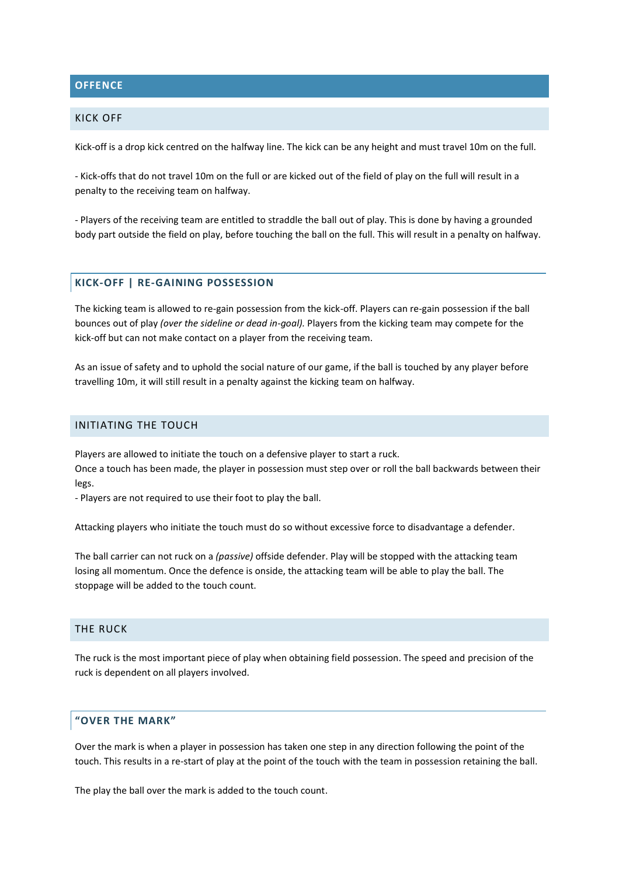## **OFFENCE**

#### KICK OFF

Kick-off is a drop kick centred on the halfway line. The kick can be any height and must travel 10m on the full.

- Kick-offs that do not travel 10m on the full or are kicked out of the field of play on the full will result in a penalty to the receiving team on halfway.

- Players of the receiving team are entitled to straddle the ball out of play. This is done by having a grounded body part outside the field on play, before touching the ball on the full. This will result in a penalty on halfway.

## **KICK-OFF | RE-GAINING POSSESSION**

The kicking team is allowed to re-gain possession from the kick-off. Players can re-gain possession if the ball bounces out of play *(over the sideline or dead in-goal).* Players from the kicking team may compete for the kick-off but can not make contact on a player from the receiving team.

As an issue of safety and to uphold the social nature of our game, if the ball is touched by any player before travelling 10m, it will still result in a penalty against the kicking team on halfway.

#### INITIATING THE TOUCH

Players are allowed to initiate the touch on a defensive player to start a ruck. Once a touch has been made, the player in possession must step over or roll the ball backwards between their legs.

- Players are not required to use their foot to play the ball.

Attacking players who initiate the touch must do so without excessive force to disadvantage a defender.

The ball carrier can not ruck on a *(passive)* offside defender. Play will be stopped with the attacking team losing all momentum. Once the defence is onside, the attacking team will be able to play the ball. The stoppage will be added to the touch count.

#### THE RUCK

The ruck is the most important piece of play when obtaining field possession. The speed and precision of the ruck is dependent on all players involved.

## **"OVER THE MARK"**

Over the mark is when a player in possession has taken one step in any direction following the point of the touch. This results in a re-start of play at the point of the touch with the team in possession retaining the ball.

The play the ball over the mark is added to the touch count.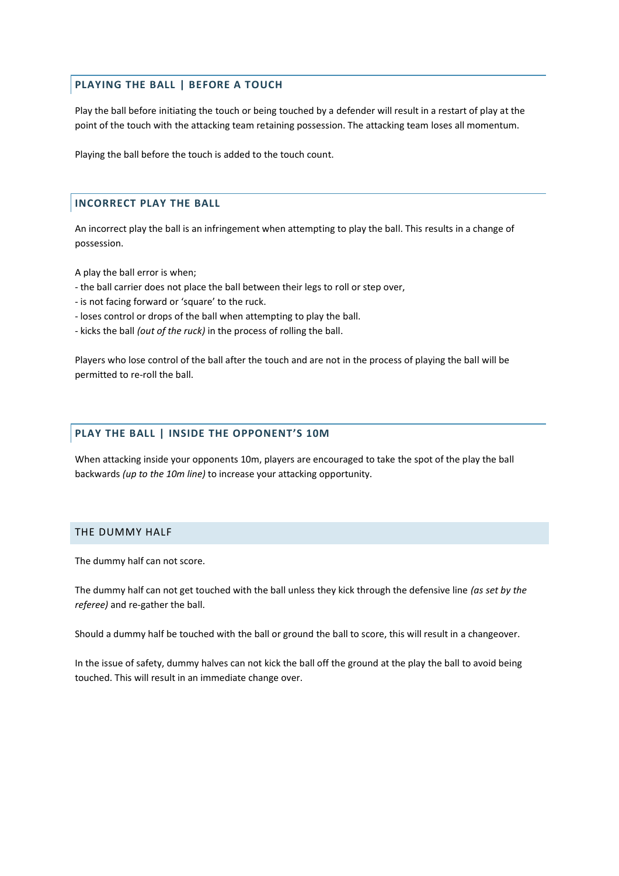## **PLAYING THE BALL | BEFORE A TOUCH**

Play the ball before initiating the touch or being touched by a defender will result in a restart of play at the point of the touch with the attacking team retaining possession. The attacking team loses all momentum.

Playing the ball before the touch is added to the touch count.

## **INCORRECT PLAY THE BALL**

An incorrect play the ball is an infringement when attempting to play the ball. This results in a change of possession.

A play the ball error is when;

- the ball carrier does not place the ball between their legs to roll or step over,
- is not facing forward or 'square' to the ruck.
- loses control or drops of the ball when attempting to play the ball.
- kicks the ball *(out of the ruck)* in the process of rolling the ball.

Players who lose control of the ball after the touch and are not in the process of playing the ball will be permitted to re-roll the ball.

#### **PLAY THE BALL | INSIDE THE OPPONENT'S 10M**

When attacking inside your opponents 10m, players are encouraged to take the spot of the play the ball backwards *(up to the 10m line)* to increase your attacking opportunity.

## THE DUMMY HALF

The dummy half can not score.

The dummy half can not get touched with the ball unless they kick through the defensive line *(as set by the referee)* and re-gather the ball.

Should a dummy half be touched with the ball or ground the ball to score, this will result in a changeover.

In the issue of safety, dummy halves can not kick the ball off the ground at the play the ball to avoid being touched. This will result in an immediate change over.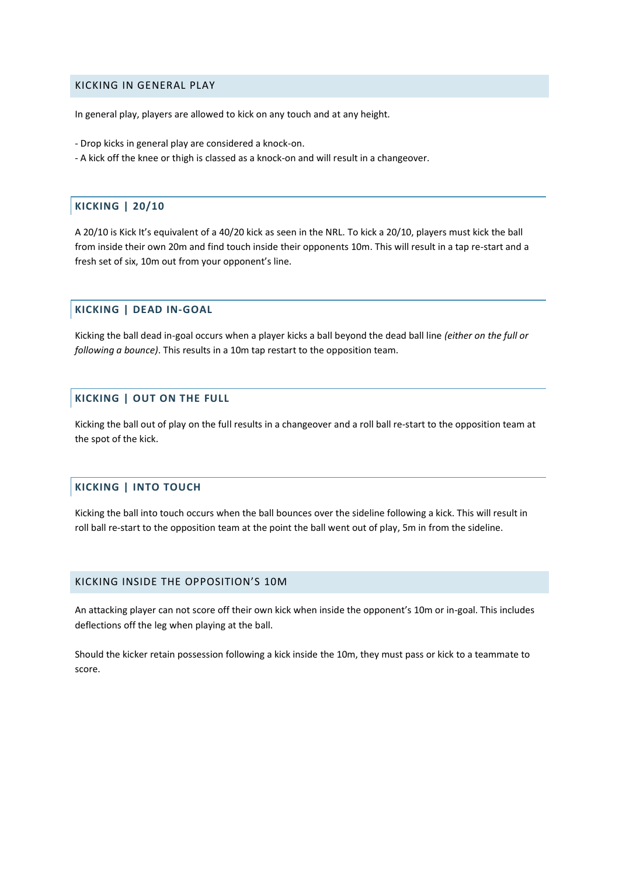### KICKING IN GENERAL PLAY

In general play, players are allowed to kick on any touch and at any height.

- Drop kicks in general play are considered a knock-on.
- A kick off the knee or thigh is classed as a knock-on and will result in a changeover.

#### **KICKING | 20/10**

A 20/10 is Kick It's equivalent of a 40/20 kick as seen in the NRL. To kick a 20/10, players must kick the ball from inside their own 20m and find touch inside their opponents 10m. This will result in a tap re-start and a fresh set of six, 10m out from your opponent's line.

### **KICKING | DEAD IN-GOAL**

Kicking the ball dead in-goal occurs when a player kicks a ball beyond the dead ball line *(either on the full or following a bounce)*. This results in a 10m tap restart to the opposition team.

## **KICKING | OUT ON THE FULL**

Kicking the ball out of play on the full results in a changeover and a roll ball re-start to the opposition team at the spot of the kick.

## **KICKING | INTO TOUCH**

Kicking the ball into touch occurs when the ball bounces over the sideline following a kick. This will result in roll ball re-start to the opposition team at the point the ball went out of play, 5m in from the sideline.

#### KICKING INSIDE THE OPPOSITION'S 10M

An attacking player can not score off their own kick when inside the opponent's 10m or in-goal. This includes deflections off the leg when playing at the ball.

Should the kicker retain possession following a kick inside the 10m, they must pass or kick to a teammate to score.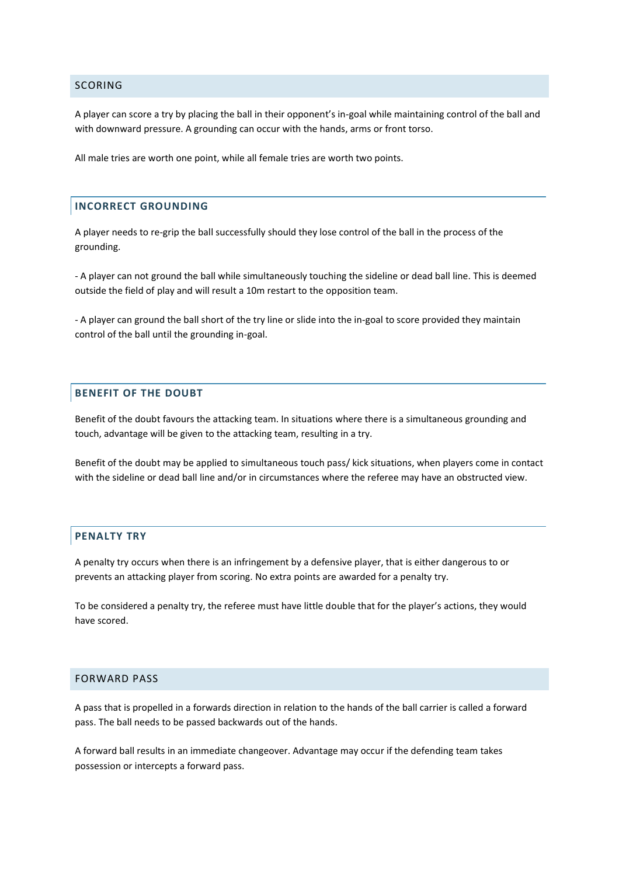#### SCORING

A player can score a try by placing the ball in their opponent's in-goal while maintaining control of the ball and with downward pressure. A grounding can occur with the hands, arms or front torso.

All male tries are worth one point, while all female tries are worth two points.

## **INCORRECT GROUNDING**

A player needs to re-grip the ball successfully should they lose control of the ball in the process of the grounding.

- A player can not ground the ball while simultaneously touching the sideline or dead ball line. This is deemed outside the field of play and will result a 10m restart to the opposition team.

- A player can ground the ball short of the try line or slide into the in-goal to score provided they maintain control of the ball until the grounding in-goal.

## **BENEFIT OF THE DOUBT**

Benefit of the doubt favours the attacking team. In situations where there is a simultaneous grounding and touch, advantage will be given to the attacking team, resulting in a try.

Benefit of the doubt may be applied to simultaneous touch pass/ kick situations, when players come in contact with the sideline or dead ball line and/or in circumstances where the referee may have an obstructed view.

#### **PENALTY TRY**

A penalty try occurs when there is an infringement by a defensive player, that is either dangerous to or prevents an attacking player from scoring. No extra points are awarded for a penalty try.

To be considered a penalty try, the referee must have little double that for the player's actions, they would have scored.

#### FORWARD PASS

A pass that is propelled in a forwards direction in relation to the hands of the ball carrier is called a forward pass. The ball needs to be passed backwards out of the hands.

A forward ball results in an immediate changeover. Advantage may occur if the defending team takes possession or intercepts a forward pass.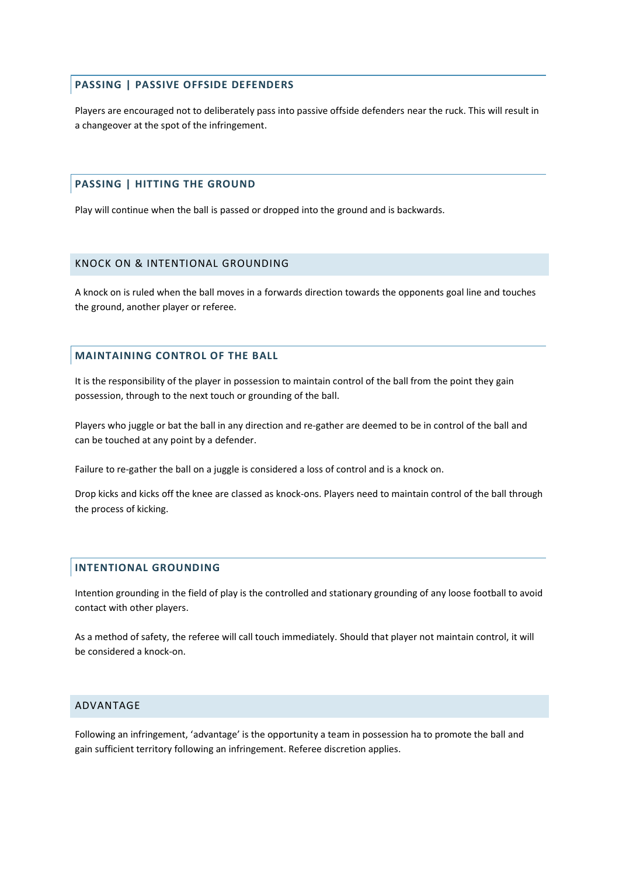### **PASSING | PASSIVE OFFSIDE DEFENDERS**

Players are encouraged not to deliberately pass into passive offside defenders near the ruck. This will result in a changeover at the spot of the infringement.

#### **PASSING | HITTING THE GROUND**

Play will continue when the ball is passed or dropped into the ground and is backwards.

#### KNOCK ON & INTENTIONAL GROUNDING

A knock on is ruled when the ball moves in a forwards direction towards the opponents goal line and touches the ground, another player or referee.

#### **MAINTAINING CONTROL OF THE BALL**

It is the responsibility of the player in possession to maintain control of the ball from the point they gain possession, through to the next touch or grounding of the ball.

Players who juggle or bat the ball in any direction and re-gather are deemed to be in control of the ball and can be touched at any point by a defender.

Failure to re-gather the ball on a juggle is considered a loss of control and is a knock on.

Drop kicks and kicks off the knee are classed as knock-ons. Players need to maintain control of the ball through the process of kicking.

#### **INTENTIONAL GROUNDING**

Intention grounding in the field of play is the controlled and stationary grounding of any loose football to avoid contact with other players.

As a method of safety, the referee will call touch immediately. Should that player not maintain control, it will be considered a knock-on.

## ADVANTAGE

Following an infringement, 'advantage' is the opportunity a team in possession ha to promote the ball and gain sufficient territory following an infringement. Referee discretion applies.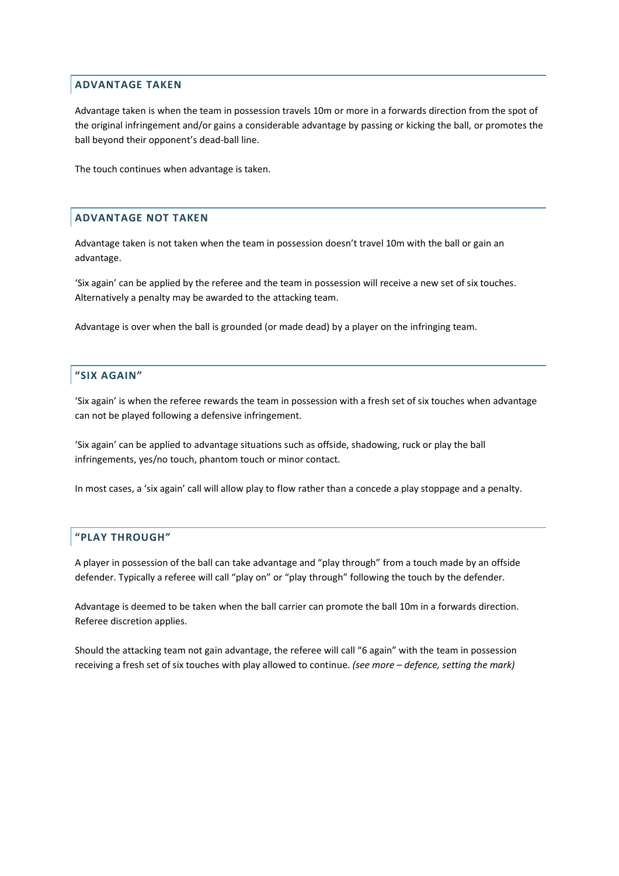## **ADVANTAGE TAKEN**

Advantage taken is when the team in possession travels 10m or more in a forwards direction from the spot of the original infringement and/or gains a considerable advantage by passing or kicking the ball, or promotes the ball beyond their opponent's dead-ball line.

The touch continues when advantage is taken.

## **ADVANTAGE NOT TAKEN**

Advantage taken is not taken when the team in possession doesn't travel 10m with the ball or gain an advantage.

'Six again' can be applied by the referee and the team in possession will receive a new set of six touches. Alternatively a penalty may be awarded to the attacking team.

Advantage is over when the ball is grounded (or made dead) by a player on the infringing team.

## **"SIX AGAIN"**

'Six again' is when the referee rewards the team in possession with a fresh set of six touches when advantage can not be played following a defensive infringement.

'Six again' can be applied to advantage situations such as offside, shadowing, ruck or play the ball infringements, yes/no touch, phantom touch or minor contact.

In most cases, a 'six again' call will allow play to flow rather than a concede a play stoppage and a penalty.

#### **"PLAY THROUGH"**

A player in possession of the ball can take advantage and "play through" from a touch made by an offside defender. Typically a referee will call "play on" or "play through" following the touch by the defender.

Advantage is deemed to be taken when the ball carrier can promote the ball 10m in a forwards direction. Referee discretion applies.

Should the attacking team not gain advantage, the referee will call "6 again" with the team in possession receiving a fresh set of six touches with play allowed to continue. *(see more – defence, setting the mark)*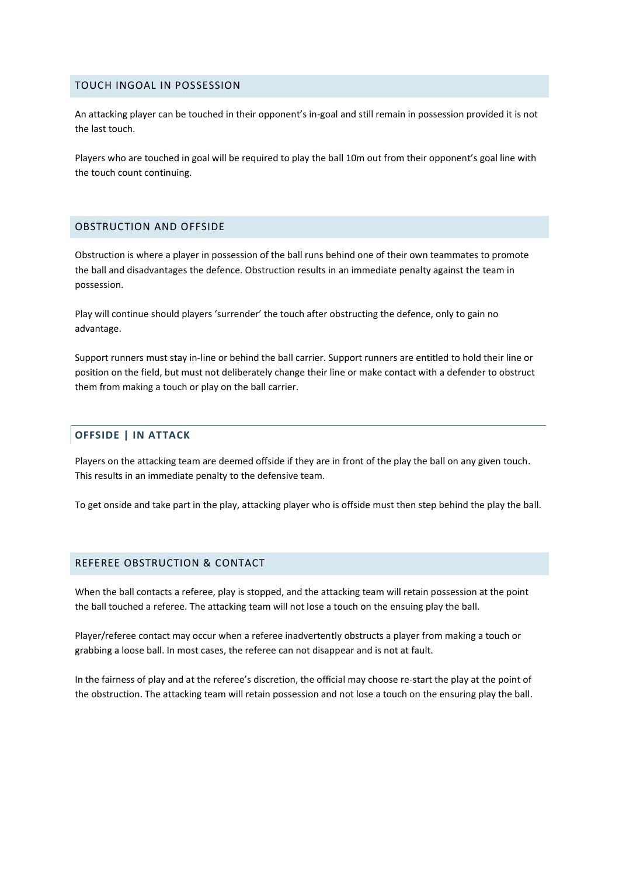#### TOUCH INGOAL IN POSSESSION

An attacking player can be touched in their opponent's in-goal and still remain in possession provided it is not the last touch.

Players who are touched in goal will be required to play the ball 10m out from their opponent's goal line with the touch count continuing.

### OBSTRUCTION AND OFFSIDE

Obstruction is where a player in possession of the ball runs behind one of their own teammates to promote the ball and disadvantages the defence. Obstruction results in an immediate penalty against the team in possession.

Play will continue should players 'surrender' the touch after obstructing the defence, only to gain no advantage.

Support runners must stay in-line or behind the ball carrier. Support runners are entitled to hold their line or position on the field, but must not deliberately change their line or make contact with a defender to obstruct them from making a touch or play on the ball carrier.

#### **OFFSIDE | IN ATTACK**

Players on the attacking team are deemed offside if they are in front of the play the ball on any given touch. This results in an immediate penalty to the defensive team.

To get onside and take part in the play, attacking player who is offside must then step behind the play the ball.

## REFEREE OBSTRUCTION & CONTACT

When the ball contacts a referee, play is stopped, and the attacking team will retain possession at the point the ball touched a referee. The attacking team will not lose a touch on the ensuing play the ball.

Player/referee contact may occur when a referee inadvertently obstructs a player from making a touch or grabbing a loose ball. In most cases, the referee can not disappear and is not at fault.

In the fairness of play and at the referee's discretion, the official may choose re-start the play at the point of the obstruction. The attacking team will retain possession and not lose a touch on the ensuring play the ball.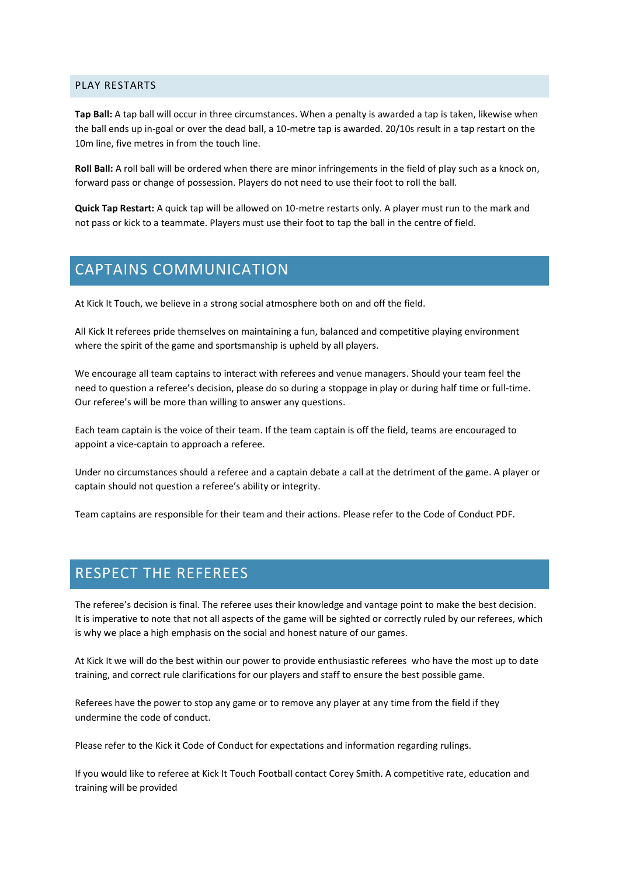#### PLAY RESTARTS

**Tap Ball:** A tap ball will occur in three circumstances. When a penalty is awarded a tap is taken, likewise when the ball ends up in-goal or over the dead ball, a 10-metre tap is awarded. 20/10s result in a tap restart on the 10m line, five metres in from the touch line.

**Roll Ball:** A roll ball will be ordered when there are minor infringements in the field of play such as a knock on, forward pass or change of possession. Players do not need to use their foot to roll the ball.

**Quick Tap Restart:** A quick tap will be allowed on 10-metre restarts only. A player must run to the mark and not pass or kick to a teammate. Players must use their foot to tap the ball in the centre of field.

# CAPTAINS COMMUNICATION

At Kick It Touch, we believe in a strong social atmosphere both on and off the field.

All Kick It referees pride themselves on maintaining a fun, balanced and competitive playing environment where the spirit of the game and sportsmanship is upheld by all players.

We encourage all team captains to interact with referees and venue managers. Should your team feel the need to question a referee's decision, please do so during a stoppage in play or during half time or full-time. Our referee's will be more than willing to answer any questions.

Each team captain is the voice of their team. If the team captain is off the field, teams are encouraged to appoint a vice-captain to approach a referee.

Under no circumstances should a referee and a captain debate a call at the detriment of the game. A player or captain should not question a referee's ability or integrity.

Team captains are responsible for their team and their actions. Please refer to the Code of Conduct PDF.

# RESPECT THE REFEREES

The referee's decision is final. The referee uses their knowledge and vantage point to make the best decision. It is imperative to note that not all aspects of the game will be sighted or correctly ruled by our referees, which is why we place a high emphasis on the social and honest nature of our games.

At Kick It we will do the best within our power to provide enthusiastic referees who have the most up to date training, and correct rule clarifications for our players and staff to ensure the best possible game.

Referees have the power to stop any game or to remove any player at any time from the field if they undermine the code of conduct.

Please refer to the Kick it Code of Conduct for expectations and information regarding rulings.

If you would like to referee at Kick It Touch Football contact Corey Smith. A competitive rate, education and training will be provided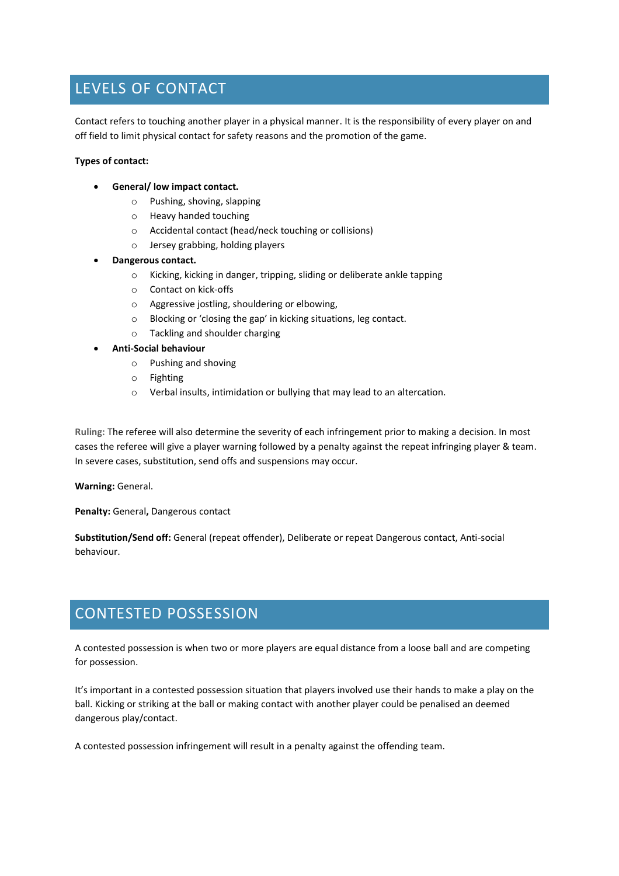# LEVELS OF CONTACT

Contact refers to touching another player in a physical manner. It is the responsibility of every player on and off field to limit physical contact for safety reasons and the promotion of the game.

#### **Types of contact:**

- **General/ low impact contact.**
	- o Pushing, shoving, slapping
	- o Heavy handed touching
	- o Accidental contact (head/neck touching or collisions)
	- o Jersey grabbing, holding players
- **Dangerous contact.**
	- o Kicking, kicking in danger, tripping, sliding or deliberate ankle tapping
	- o Contact on kick-offs
	- o Aggressive jostling, shouldering or elbowing,
	- o Blocking or 'closing the gap' in kicking situations, leg contact.
	- o Tackling and shoulder charging

#### • **Anti-Social behaviour**

- o Pushing and shoving
- o Fighting
- o Verbal insults, intimidation or bullying that may lead to an altercation.

**Ruling:** The referee will also determine the severity of each infringement prior to making a decision. In most cases the referee will give a player warning followed by a penalty against the repeat infringing player & team. In severe cases, substitution, send offs and suspensions may occur.

**Warning:** General.

**Penalty:** General**,** Dangerous contact

**Substitution/Send off:** General (repeat offender), Deliberate or repeat Dangerous contact, Anti-social behaviour.

# CONTESTED POSSESSION

A contested possession is when two or more players are equal distance from a loose ball and are competing for possession.

It's important in a contested possession situation that players involved use their hands to make a play on the ball. Kicking or striking at the ball or making contact with another player could be penalised an deemed dangerous play/contact.

A contested possession infringement will result in a penalty against the offending team.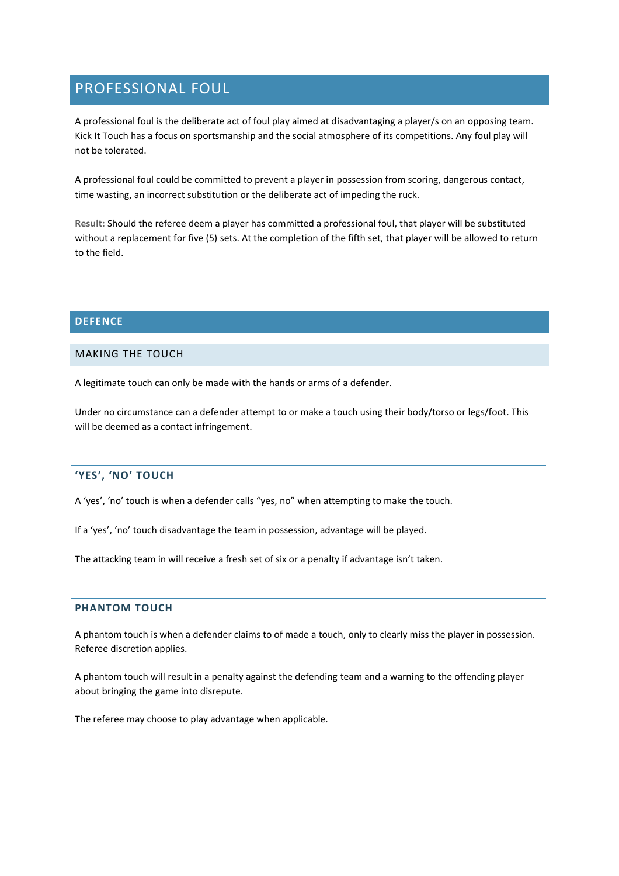# PROFESSIONAL FOUL

A professional foul is the deliberate act of foul play aimed at disadvantaging a player/s on an opposing team. Kick It Touch has a focus on sportsmanship and the social atmosphere of its competitions. Any foul play will not be tolerated.

A professional foul could be committed to prevent a player in possession from scoring, dangerous contact, time wasting, an incorrect substitution or the deliberate act of impeding the ruck.

**Result:** Should the referee deem a player has committed a professional foul, that player will be substituted without a replacement for five (5) sets. At the completion of the fifth set, that player will be allowed to return to the field.

## **DEFENCE**

## MAKING THE TOUCH

A legitimate touch can only be made with the hands or arms of a defender.

Under no circumstance can a defender attempt to or make a touch using their body/torso or legs/foot. This will be deemed as a contact infringement.

# **'YES', 'NO' TOUCH**

A 'yes', 'no' touch is when a defender calls "yes, no" when attempting to make the touch.

If a 'yes', 'no' touch disadvantage the team in possession, advantage will be played.

The attacking team in will receive a fresh set of six or a penalty if advantage isn't taken.

## **PHANTOM TOUCH**

A phantom touch is when a defender claims to of made a touch, only to clearly miss the player in possession. Referee discretion applies.

A phantom touch will result in a penalty against the defending team and a warning to the offending player about bringing the game into disrepute.

The referee may choose to play advantage when applicable.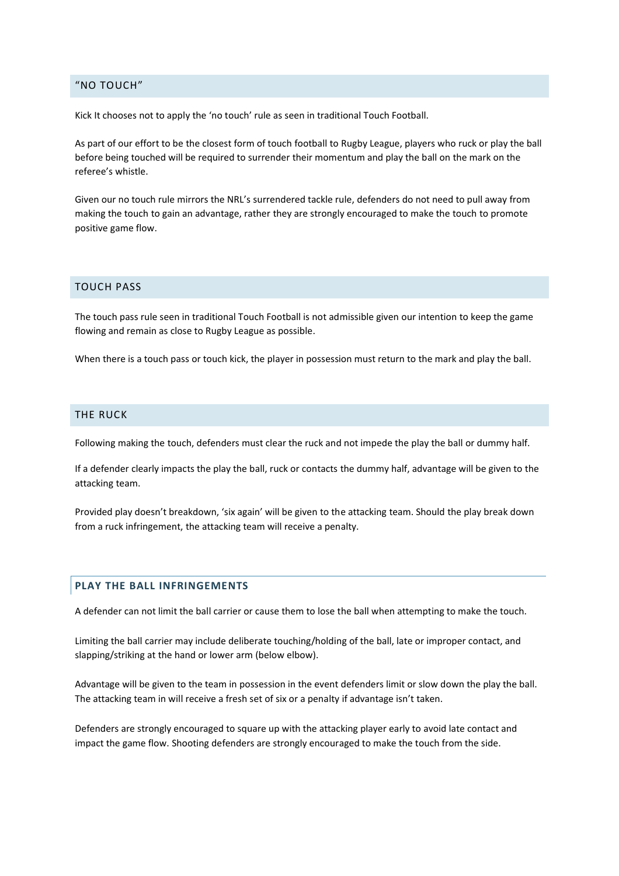#### "NO TOUCH"

Kick It chooses not to apply the 'no touch' rule as seen in traditional Touch Football.

As part of our effort to be the closest form of touch football to Rugby League, players who ruck or play the ball before being touched will be required to surrender their momentum and play the ball on the mark on the referee's whistle.

Given our no touch rule mirrors the NRL's surrendered tackle rule, defenders do not need to pull away from making the touch to gain an advantage, rather they are strongly encouraged to make the touch to promote positive game flow.

#### TOUCH PASS

The touch pass rule seen in traditional Touch Football is not admissible given our intention to keep the game flowing and remain as close to Rugby League as possible.

When there is a touch pass or touch kick, the player in possession must return to the mark and play the ball.

#### THE RUCK

Following making the touch, defenders must clear the ruck and not impede the play the ball or dummy half.

If a defender clearly impacts the play the ball, ruck or contacts the dummy half, advantage will be given to the attacking team.

Provided play doesn't breakdown, 'six again' will be given to the attacking team. Should the play break down from a ruck infringement, the attacking team will receive a penalty.

## **PLAY THE BALL INFRINGEMENTS**

A defender can not limit the ball carrier or cause them to lose the ball when attempting to make the touch.

Limiting the ball carrier may include deliberate touching/holding of the ball, late or improper contact, and slapping/striking at the hand or lower arm (below elbow).

Advantage will be given to the team in possession in the event defenders limit or slow down the play the ball. The attacking team in will receive a fresh set of six or a penalty if advantage isn't taken.

Defenders are strongly encouraged to square up with the attacking player early to avoid late contact and impact the game flow. Shooting defenders are strongly encouraged to make the touch from the side.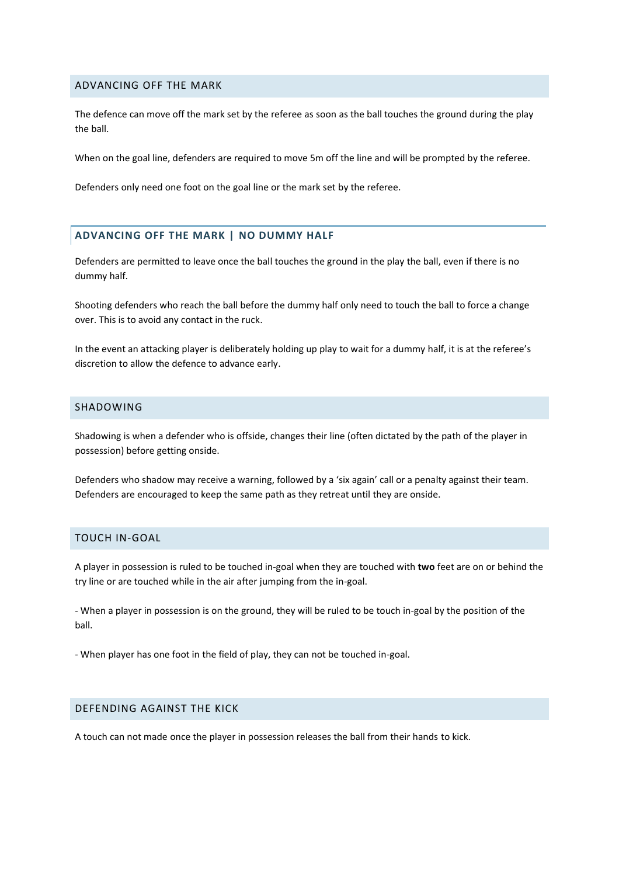#### ADVANCING OFF THE MARK

The defence can move off the mark set by the referee as soon as the ball touches the ground during the play the ball.

When on the goal line, defenders are required to move 5m off the line and will be prompted by the referee.

Defenders only need one foot on the goal line or the mark set by the referee.

## **ADVANCING OFF THE MARK | NO DUMMY HALF**

Defenders are permitted to leave once the ball touches the ground in the play the ball, even if there is no dummy half.

Shooting defenders who reach the ball before the dummy half only need to touch the ball to force a change over. This is to avoid any contact in the ruck.

In the event an attacking player is deliberately holding up play to wait for a dummy half, it is at the referee's discretion to allow the defence to advance early.

## SHADOWING

Shadowing is when a defender who is offside, changes their line (often dictated by the path of the player in possession) before getting onside.

Defenders who shadow may receive a warning, followed by a 'six again' call or a penalty against their team. Defenders are encouraged to keep the same path as they retreat until they are onside.

### TOUCH IN-GOAL

A player in possession is ruled to be touched in-goal when they are touched with **two** feet are on or behind the try line or are touched while in the air after jumping from the in-goal.

- When a player in possession is on the ground, they will be ruled to be touch in-goal by the position of the ball.

- When player has one foot in the field of play, they can not be touched in-goal.

#### DEFENDING AGAINST THE KICK

A touch can not made once the player in possession releases the ball from their hands to kick.